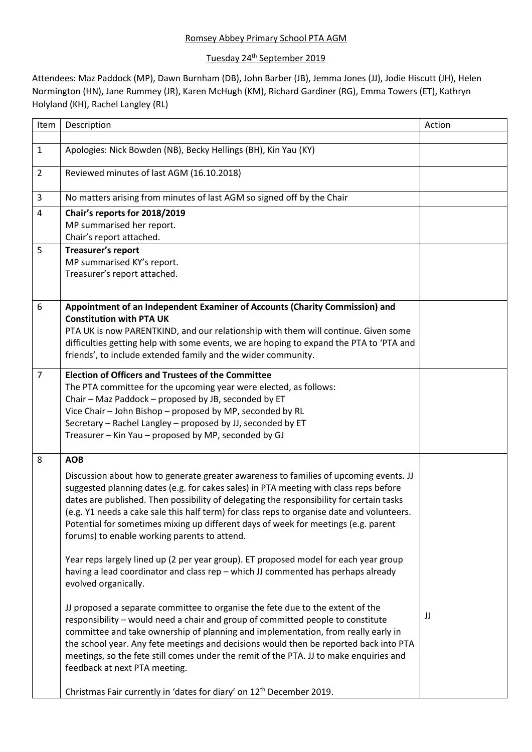## Romsey Abbey Primary School PTA AGM

## Tuesday 24<sup>th</sup> September 2019

Attendees: Maz Paddock (MP), Dawn Burnham (DB), John Barber (JB), Jemma Jones (JJ), Jodie Hiscutt (JH), Helen Normington (HN), Jane Rummey (JR), Karen McHugh (KM), Richard Gardiner (RG), Emma Towers (ET), Kathryn Holyland (KH), Rachel Langley (RL)

| Item           | Description                                                                                              | Action |
|----------------|----------------------------------------------------------------------------------------------------------|--------|
|                |                                                                                                          |        |
| $\mathbf{1}$   | Apologies: Nick Bowden (NB), Becky Hellings (BH), Kin Yau (KY)                                           |        |
| $\overline{2}$ | Reviewed minutes of last AGM (16.10.2018)                                                                |        |
| $\overline{3}$ | No matters arising from minutes of last AGM so signed off by the Chair                                   |        |
| $\overline{4}$ | Chair's reports for 2018/2019                                                                            |        |
|                | MP summarised her report.                                                                                |        |
|                | Chair's report attached.                                                                                 |        |
| 5              | <b>Treasurer's report</b>                                                                                |        |
|                | MP summarised KY's report.                                                                               |        |
|                | Treasurer's report attached.                                                                             |        |
|                |                                                                                                          |        |
| 6              | Appointment of an Independent Examiner of Accounts (Charity Commission) and                              |        |
|                | <b>Constitution with PTA UK</b>                                                                          |        |
|                | PTA UK is now PARENTKIND, and our relationship with them will continue. Given some                       |        |
|                | difficulties getting help with some events, we are hoping to expand the PTA to 'PTA and                  |        |
|                | friends', to include extended family and the wider community.                                            |        |
| $\overline{7}$ | <b>Election of Officers and Trustees of the Committee</b>                                                |        |
|                | The PTA committee for the upcoming year were elected, as follows:                                        |        |
|                | Chair - Maz Paddock - proposed by JB, seconded by ET                                                     |        |
|                | Vice Chair - John Bishop - proposed by MP, seconded by RL                                                |        |
|                | Secretary - Rachel Langley - proposed by JJ, seconded by ET                                              |        |
|                | Treasurer - Kin Yau - proposed by MP, seconded by GJ                                                     |        |
| 8              | <b>AOB</b>                                                                                               |        |
|                | Discussion about how to generate greater awareness to families of upcoming events. JJ                    |        |
|                | suggested planning dates (e.g. for cakes sales) in PTA meeting with class reps before                    |        |
|                | dates are published. Then possibility of delegating the responsibility for certain tasks                 |        |
|                | (e.g. Y1 needs a cake sale this half term) for class reps to organise date and volunteers.               |        |
|                | Potential for sometimes mixing up different days of week for meetings (e.g. parent                       |        |
|                | forums) to enable working parents to attend.                                                             |        |
|                |                                                                                                          |        |
|                | Year reps largely lined up (2 per year group). ET proposed model for each year group                     |        |
|                | having a lead coordinator and class rep - which JJ commented has perhaps already<br>evolved organically. |        |
|                |                                                                                                          |        |
|                | JJ proposed a separate committee to organise the fete due to the extent of the                           |        |
|                | responsibility - would need a chair and group of committed people to constitute                          | JJ     |
|                | committee and take ownership of planning and implementation, from really early in                        |        |
|                | the school year. Any fete meetings and decisions would then be reported back into PTA                    |        |
|                | meetings, so the fete still comes under the remit of the PTA. JJ to make enquiries and                   |        |
|                | feedback at next PTA meeting.                                                                            |        |
|                |                                                                                                          |        |
|                | Christmas Fair currently in 'dates for diary' on 12 <sup>th</sup> December 2019.                         |        |